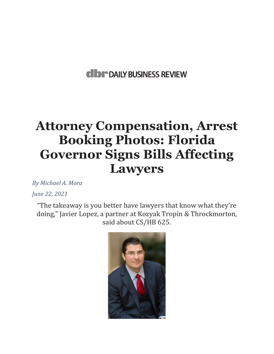## **dibr** DAILY BUSINESS REVIEW

## **Attorney Compensation, Arrest Booking Photos: Florida Governor Signs Bills Affecting Lawyers**

*By Michael A. Mora* 

*June 22, 2021*

"The takeaway is you better have lawyers that know what they're doing," Javier Lopez, a partner at Kozyak Tropin & Throckmorton, said about CS/HB 625.

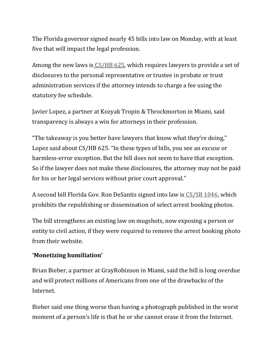The Florida governor signed nearly 45 bills into law on Monday, with at least five that will impact the legal profession.

Among the new laws is [CS/HB 625,](https://www.flsenate.gov/PublishedContent/Session/2021/BillSummary/Judiciary_JU0625ju_00625.pdf) which requires lawyers to provide a set of disclosures to the personal representative or trustee in probate or trust administration services if the attorney intends to charge a fee using the statutory fee schedule.

Javier Lopez, a partner at Kozyak Tropin & Throckmorton in Miami, said transparency is always a win for attorneys in their profession.

"The takeaway is you better have lawyers that know what they're doing," Lopez said about CS/HB 625. "In these types of bills, you see an excuse or harmless-error exception. But the bill does not seem to have that exception. So if the lawyer does not make these disclosures, the attorney may not be paid for his or her legal services without prior court approval."

A second bill Florida Gov. Ron DeSantis signed into law is [CS/SB 1046,](https://www.flsenate.gov/Session/Bill/2021/1046/BillText/er/HTML) which prohibits the republishing or dissemination of select arrest booking photos.

The bill strengthens an existing law on mugshots, now exposing a person or entity to civil action, if they were required to remove the arrest booking photo from their website.

## **'Monetizing humiliation'**

Brian Bieber, a partner at GrayRobinson in Miami, said the bill is long overdue and will protect millions of Americans from one of the drawbacks of the Internet.

Bieber said one thing worse than having a photograph published in the worst moment of a person's life is that he or she cannot erase it from the Internet.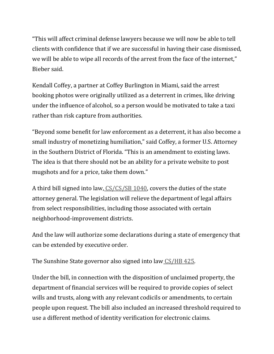"This will affect criminal defense lawyers because we will now be able to tell clients with confidence that if we are successful in having their case dismissed, we will be able to wipe all records of the arrest from the face of the internet," Bieber said.

Kendall Coffey, a partner at Coffey Burlington in Miami, said the arrest booking photos were originally utilized as a deterrent in crimes, like driving under the influence of alcohol, so a person would be motivated to take a taxi rather than risk capture from authorities.

"Beyond some benefit for law enforcement as a deterrent, it has also become a small industry of monetizing humiliation," said Coffey, a former U.S. Attorney in the Southern District of Florida. "This is an amendment to existing laws. The idea is that there should not be an ability for a private website to post mugshots and for a price, take them down."

A third bill signed into law, [CS/CS/SB 1040,](https://www.flsenate.gov/Session/Bill/2021/890/BillText/er/HTML) covers the duties of the state attorney general. The legislation will relieve the department of legal affairs from select responsibilities, including those associated with certain neighborhood-improvement districts.

And the law will authorize some declarations during a state of emergency that can be extended by executive order.

The Sunshine State governor also signed into law [CS/HB 425.](https://www.flsenate.gov/Session/Bill/2021/425/BillText/er/PDF)

Under the bill, in connection with the disposition of unclaimed property, the department of financial services will be required to provide copies of select wills and trusts, along with any relevant codicils or amendments, to certain people upon request. The bill also included an increased threshold required to use a different method of identity verification for electronic claims.